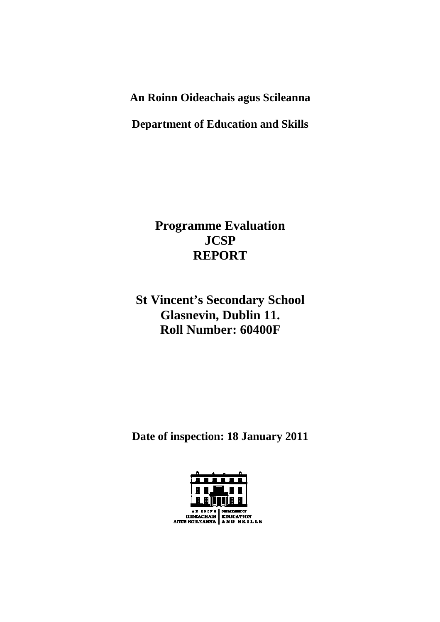# **An Roinn Oideachais agus Scileanna**

**Department of Education and Skills** 

**Programme Evaluation JCSP REPORT** 

**St Vincent's Secondary School Glasnevin, Dublin 11. Roll Number: 60400F** 

**Date of inspection: 18 January 2011** 

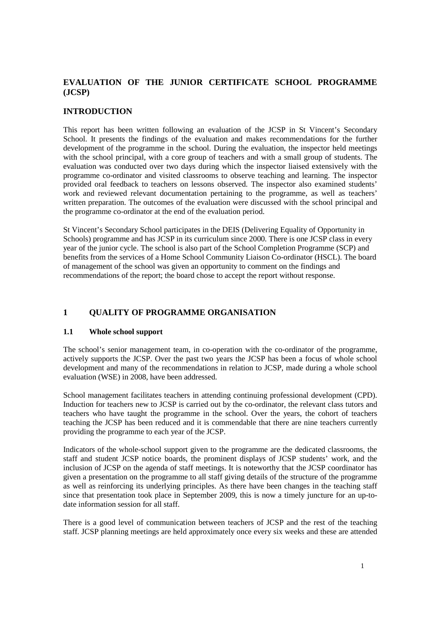# **EVALUATION OF THE JUNIOR CERTIFICATE SCHOOL PROGRAMME (JCSP)**

## **INTRODUCTION**

This report has been written following an evaluation of the JCSP in St Vincent's Secondary School. It presents the findings of the evaluation and makes recommendations for the further development of the programme in the school. During the evaluation, the inspector held meetings with the school principal, with a core group of teachers and with a small group of students. The evaluation was conducted over two days during which the inspector liaised extensively with the programme co-ordinator and visited classrooms to observe teaching and learning. The inspector provided oral feedback to teachers on lessons observed. The inspector also examined students' work and reviewed relevant documentation pertaining to the programme, as well as teachers' written preparation. The outcomes of the evaluation were discussed with the school principal and the programme co-ordinator at the end of the evaluation period.

St Vincent's Secondary School participates in the DEIS (Delivering Equality of Opportunity in Schools) programme and has JCSP in its curriculum since 2000. There is one JCSP class in every year of the junior cycle. The school is also part of the School Completion Programme (SCP) and benefits from the services of a Home School Community Liaison Co-ordinator (HSCL). The board of management of the school was given an opportunity to comment on the findings and recommendations of the report; the board chose to accept the report without response.

# **1 QUALITY OF PROGRAMME ORGANISATION**

#### **1.1 Whole school support**

The school's senior management team, in co-operation with the co-ordinator of the programme, actively supports the JCSP. Over the past two years the JCSP has been a focus of whole school development and many of the recommendations in relation to JCSP, made during a whole school evaluation (WSE) in 2008, have been addressed.

School management facilitates teachers in attending continuing professional development (CPD). Induction for teachers new to JCSP is carried out by the co-ordinator, the relevant class tutors and teachers who have taught the programme in the school. Over the years, the cohort of teachers teaching the JCSP has been reduced and it is commendable that there are nine teachers currently providing the programme to each year of the JCSP.

Indicators of the whole-school support given to the programme are the dedicated classrooms, the staff and student JCSP notice boards, the prominent displays of JCSP students' work, and the inclusion of JCSP on the agenda of staff meetings. It is noteworthy that the JCSP coordinator has given a presentation on the programme to all staff giving details of the structure of the programme as well as reinforcing its underlying principles. As there have been changes in the teaching staff since that presentation took place in September 2009, this is now a timely juncture for an up-todate information session for all staff.

There is a good level of communication between teachers of JCSP and the rest of the teaching staff. JCSP planning meetings are held approximately once every six weeks and these are attended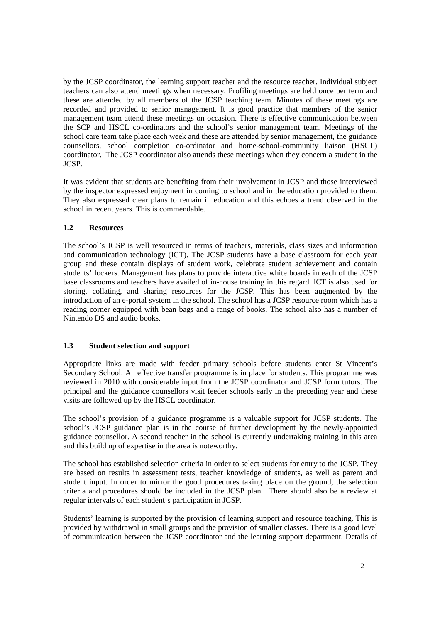by the JCSP coordinator, the learning support teacher and the resource teacher. Individual subject teachers can also attend meetings when necessary. Profiling meetings are held once per term and these are attended by all members of the JCSP teaching team. Minutes of these meetings are recorded and provided to senior management. It is good practice that members of the senior management team attend these meetings on occasion. There is effective communication between the SCP and HSCL co-ordinators and the school's senior management team. Meetings of the school care team take place each week and these are attended by senior management, the guidance counsellors, school completion co-ordinator and home-school-community liaison (HSCL) coordinator. The JCSP coordinator also attends these meetings when they concern a student in the JCSP.

It was evident that students are benefiting from their involvement in JCSP and those interviewed by the inspector expressed enjoyment in coming to school and in the education provided to them. They also expressed clear plans to remain in education and this echoes a trend observed in the school in recent years. This is commendable.

## **1.2 Resources**

The school's JCSP is well resourced in terms of teachers, materials, class sizes and information and communication technology (ICT). The JCSP students have a base classroom for each year group and these contain displays of student work, celebrate student achievement and contain students' lockers. Management has plans to provide interactive white boards in each of the JCSP base classrooms and teachers have availed of in-house training in this regard. ICT is also used for storing, collating, and sharing resources for the JCSP. This has been augmented by the introduction of an e-portal system in the school. The school has a JCSP resource room which has a reading corner equipped with bean bags and a range of books. The school also has a number of Nintendo DS and audio books.

#### **1.3 Student selection and support**

Appropriate links are made with feeder primary schools before students enter St Vincent's Secondary School. An effective transfer programme is in place for students. This programme was reviewed in 2010 with considerable input from the JCSP coordinator and JCSP form tutors. The principal and the guidance counsellors visit feeder schools early in the preceding year and these visits are followed up by the HSCL coordinator.

The school's provision of a guidance programme is a valuable support for JCSP students. The school's JCSP guidance plan is in the course of further development by the newly-appointed guidance counsellor. A second teacher in the school is currently undertaking training in this area and this build up of expertise in the area is noteworthy.

The school has established selection criteria in order to select students for entry to the JCSP. They are based on results in assessment tests, teacher knowledge of students, as well as parent and student input. In order to mirror the good procedures taking place on the ground, the selection criteria and procedures should be included in the JCSP plan. There should also be a review at regular intervals of each student's participation in JCSP.

Students' learning is supported by the provision of learning support and resource teaching. This is provided by withdrawal in small groups and the provision of smaller classes. There is a good level of communication between the JCSP coordinator and the learning support department. Details of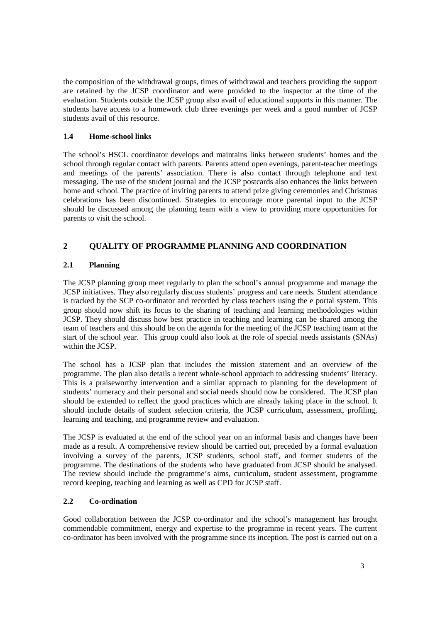the composition of the withdrawal groups, times of withdrawal and teachers providing the support are retained by the JCSP coordinator and were provided to the inspector at the time of the evaluation. Students outside the JCSP group also avail of educational supports in this manner. The students have access to a homework club three evenings per week and a good number of JCSP students avail of this resource.

## **1.4 Home-school links**

The school's HSCL coordinator develops and maintains links between students' homes and the school through regular contact with parents. Parents attend open evenings, parent-teacher meetings and meetings of the parents' association. There is also contact through telephone and text messaging. The use of the student journal and the JCSP postcards also enhances the links between home and school. The practice of inviting parents to attend prize giving ceremonies and Christmas celebrations has been discontinued. Strategies to encourage more parental input to the JCSP should be discussed among the planning team with a view to providing more opportunities for parents to visit the school.

# **2 QUALITY OF PROGRAMME PLANNING AND COORDINATION**

## **2.1 Planning**

The JCSP planning group meet regularly to plan the school's annual programme and manage the JCSP initiatives. They also regularly discuss students' progress and care needs. Student attendance is tracked by the SCP co-ordinator and recorded by class teachers using the e portal system. This group should now shift its focus to the sharing of teaching and learning methodologies within JCSP. They should discuss how best practice in teaching and learning can be shared among the team of teachers and this should be on the agenda for the meeting of the JCSP teaching team at the start of the school year. This group could also look at the role of special needs assistants (SNAs) within the JCSP.

The school has a JCSP plan that includes the mission statement and an overview of the programme. The plan also details a recent whole-school approach to addressing students' literacy. This is a praiseworthy intervention and a similar approach to planning for the development of students' numeracy and their personal and social needs should now be considered. The JCSP plan should be extended to reflect the good practices which are already taking place in the school. It should include details of student selection criteria, the JCSP curriculum, assessment, profiling, learning and teaching, and programme review and evaluation.

The JCSP is evaluated at the end of the school year on an informal basis and changes have been made as a result. A comprehensive review should be carried out, preceded by a formal evaluation involving a survey of the parents, JCSP students, school staff, and former students of the programme. The destinations of the students who have graduated from JCSP should be analysed. The review should include the programme's aims, curriculum, student assessment, programme record keeping, teaching and learning as well as CPD for JCSP staff.

#### **2.2 Co-ordination**

Good collaboration between the JCSP co-ordinator and the school's management has brought commendable commitment, energy and expertise to the programme in recent years. The current co-ordinator has been involved with the programme since its inception. The post is carried out on a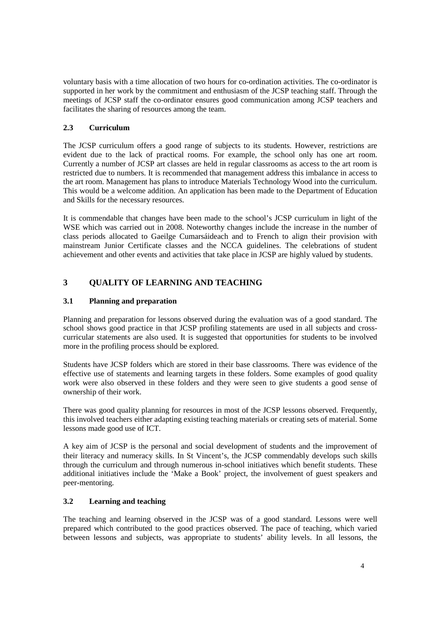voluntary basis with a time allocation of two hours for co-ordination activities. The co-ordinator is supported in her work by the commitment and enthusiasm of the JCSP teaching staff. Through the meetings of JCSP staff the co-ordinator ensures good communication among JCSP teachers and facilitates the sharing of resources among the team.

## **2.3 Curriculum**

The JCSP curriculum offers a good range of subjects to its students. However, restrictions are evident due to the lack of practical rooms. For example, the school only has one art room. Currently a number of JCSP art classes are held in regular classrooms as access to the art room is restricted due to numbers. It is recommended that management address this imbalance in access to the art room. Management has plans to introduce Materials Technology Wood into the curriculum. This would be a welcome addition. An application has been made to the Department of Education and Skills for the necessary resources.

It is commendable that changes have been made to the school's JCSP curriculum in light of the WSE which was carried out in 2008. Noteworthy changes include the increase in the number of class periods allocated to Gaeilge Cumarsáideach and to French to align their provision with mainstream Junior Certificate classes and the NCCA guidelines. The celebrations of student achievement and other events and activities that take place in JCSP are highly valued by students.

# **3 QUALITY OF LEARNING AND TEACHING**

## **3.1 Planning and preparation**

Planning and preparation for lessons observed during the evaluation was of a good standard. The school shows good practice in that JCSP profiling statements are used in all subjects and crosscurricular statements are also used. It is suggested that opportunities for students to be involved more in the profiling process should be explored.

Students have JCSP folders which are stored in their base classrooms. There was evidence of the effective use of statements and learning targets in these folders. Some examples of good quality work were also observed in these folders and they were seen to give students a good sense of ownership of their work.

There was good quality planning for resources in most of the JCSP lessons observed. Frequently, this involved teachers either adapting existing teaching materials or creating sets of material. Some lessons made good use of ICT.

A key aim of JCSP is the personal and social development of students and the improvement of their literacy and numeracy skills. In St Vincent's, the JCSP commendably develops such skills through the curriculum and through numerous in-school initiatives which benefit students. These additional initiatives include the 'Make a Book' project, the involvement of guest speakers and peer-mentoring.

#### **3.2 Learning and teaching**

The teaching and learning observed in the JCSP was of a good standard. Lessons were well prepared which contributed to the good practices observed. The pace of teaching, which varied between lessons and subjects, was appropriate to students' ability levels. In all lessons, the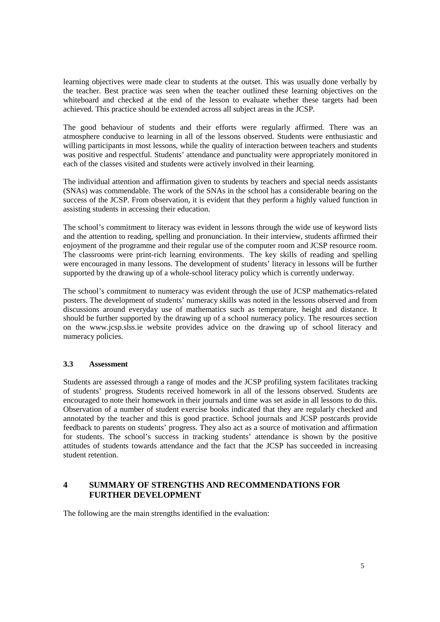learning objectives were made clear to students at the outset. This was usually done verbally by the teacher. Best practice was seen when the teacher outlined these learning objectives on the whiteboard and checked at the end of the lesson to evaluate whether these targets had been achieved. This practice should be extended across all subject areas in the JCSP.

The good behaviour of students and their efforts were regularly affirmed. There was an atmosphere conducive to learning in all of the lessons observed. Students were enthusiastic and willing participants in most lessons, while the quality of interaction between teachers and students was positive and respectful. Students' attendance and punctuality were appropriately monitored in each of the classes visited and students were actively involved in their learning.

The individual attention and affirmation given to students by teachers and special needs assistants (SNAs) was commendable. The work of the SNAs in the school has a considerable bearing on the success of the JCSP. From observation, it is evident that they perform a highly valued function in assisting students in accessing their education.

The school's commitment to literacy was evident in lessons through the wide use of keyword lists and the attention to reading, spelling and pronunciation. In their interview, students affirmed their enjoyment of the programme and their regular use of the computer room and JCSP resource room. The classrooms were print-rich learning environments. The key skills of reading and spelling were encouraged in many lessons. The development of students' literacy in lessons will be further supported by the drawing up of a whole-school literacy policy which is currently underway.

The school's commitment to numeracy was evident through the use of JCSP mathematics-related posters. The development of students' numeracy skills was noted in the lessons observed and from discussions around everyday use of mathematics such as temperature, height and distance. It should be further supported by the drawing up of a school numeracy policy. The resources section on the www.jcsp.slss.ie website provides advice on the drawing up of school literacy and numeracy policies.

#### **3.3 Assessment**

Students are assessed through a range of modes and the JCSP profiling system facilitates tracking of students' progress. Students received homework in all of the lessons observed. Students are encouraged to note their homework in their journals and time was set aside in all lessons to do this. Observation of a number of student exercise books indicated that they are regularly checked and annotated by the teacher and this is good practice. School journals and JCSP postcards provide feedback to parents on students' progress. They also act as a source of motivation and affirmation for students. The school's success in tracking students' attendance is shown by the positive attitudes of students towards attendance and the fact that the JCSP has succeeded in increasing student retention.

## **4 SUMMARY OF STRENGTHS AND RECOMMENDATIONS FOR FURTHER DEVELOPMENT**

The following are the main strengths identified in the evaluation: